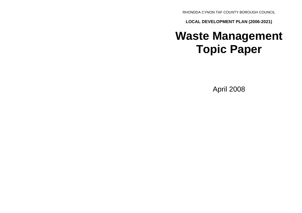RHONDDA CYNON TAF COUNTY BOROUGH COUNCIL

**LOCAL DEVELOPMENT PLAN (2006-2021)**

# **Waste Management Topic Paper**

April 2008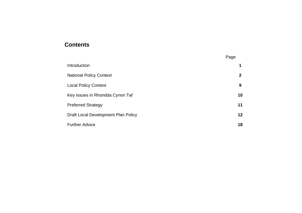# **Contents**

|                                     | Page |
|-------------------------------------|------|
| Introduction                        | 1    |
| <b>National Policy Context</b>      | 2    |
| <b>Local Policy Context</b>         | 9    |
| Key Issues in Rhondda Cynon Taf     | 10   |
| <b>Preferred Strategy</b>           | 11   |
| Draft Local Development Plan Policy | 12   |
| <b>Further Advice</b>               | 18   |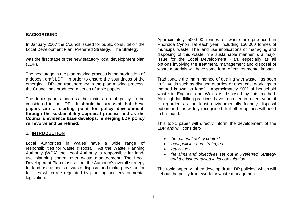#### **BACKGROUND**

In January 2007 the Council issued for public consultation the Local Development Plan: Preferred Strategy. The Strategy

was the first stage of the new statutory local development plan (LDP).

The next stage in the plan making process is the production of a deposit draft LDP. In order to ensure the soundness of the emerging LDP and transparency in the plan making process, the Council has produced a series of topic papers.

The topic papers address the main area of policy to be considered in the LDP. **It should be stressed that these papers are a starting point for policy development, through the sustainability appraisal process and as the Council's evidence base develops, emerging LDP policy will evolve and be refined.**

#### **1. INTRODUCTION**

Local Authorities in Wales have a wide range of responsibilities for waste disposal. As the Waste Planning Authority (WPA) the Local Authority is responsible for landuse planning control over waste management. The Local Development Plan must set out the Authority's overall strategy for land use aspects of waste disposal and make provision for facilities which are regulated by planning and environmental legislation.

Approximately 500,000 tonnes of waste are produced in Rhondda Cynon Taf each year, including 150,000 tonnes of municipal waste. The land use implications of managing and disposing of this waste in a sustainable manner is a major issue for the Local Development Plan, especially as all options involving the treatment, management and disposal of waste materials will have some form of environmental impact.

Traditionally the main method of dealing with waste has been to fill voids such as disused quarries or open cast workings, a method known as landfill. Approximately 90% of household waste in England and Wales is disposed by this method. Although landfilling practices have improved in recent years it is regarded as the least environmentally friendly disposal option and it is widely recognised that other options will need to be found.

This topic paper will directly inform the development of the LDP and will consider:-

- *the national policy context*
- *local policies and strategies*
- *key issues*
- *the aims and objectives set out in Preferred Strategy and the issues raised in its consultation.*

The topic paper will then develop draft LDP policies, which will set out the policy framework for waste management.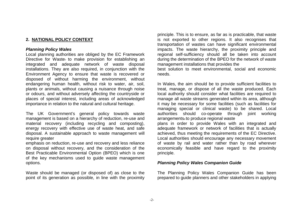## **2. NATIONAL POLICY CONTEXT**

#### *Planning Policy Wales*

Local planning authorities are obliged by the EC Framework Directive for Waste<sub>7</sub> to make provision for establishing an integrated and adequate network of waste disposal installations. They are also required, in conjunction with the Environment Agency to ensure that waste is recovered or disposed of without harming the environment, without endangering human health, without risk to water, air, soil, plants or animals, without causing a nuisance through noise or odours, and without adversely affecting the countryside or places of special interest, including areas of acknowledged importance in relation to the natural and cultural heritage.

The UK Government's general policy towards waste management is based on a hierarchy of reduction, re-use and material recovery (including recycling and composting), energy recovery with effective use of waste heat, and safe disposal. A sustainable approach to waste management will require greater

emphasis on reduction, re-use and recovery and less reliance on disposal without recovery, and the consideration of the Best Practicable Environmental Option (BPEO) which is one of the key mechanisms used to guide waste management options.

Waste should be managed (or disposed of) as close to the point of its generation as possible, in line with the proximity

principle. This is to ensure, as far as is practicable, that waste is not exported to other regions. It also recognises that transportation of wastes can have significant environmental impacts. The waste hierarchy, the proximity principle and regional self-sufficiency should all be taken into account during the determination of the BPEO for the network of waste management installations that provides the

best solution to meet environmental, social and economic needs.

In Wales, the aim should be to provide sufficient facilities to treat, manage, or dispose of all the waste produced. Each local authority should consider what facilities are required to manage all waste streams generated within its area, although it may be necessary for some facilities (such as facilities for managing special or clinical waste) to be shared. Local authorities should co-operate through joint working arrangements<sup>8</sup> to produce regional waste plans in order to provide Wales with an integrated and adequate framework or network of facilities that is actually achieved, thus meeting the requirements of the EC Directive.

Local authorities should encourage any necessary movement of waste by rail and water rather than by road wherever economically feasible and have regard to the proximity principle.

#### *Planning Policy Wales Companion Guide*

The Planning Policy Wales Companion Guide has been prepared to guide planners and other stakeholders in applying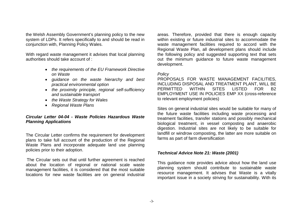the Welsh Assembly Government's planning policy to the new system of LDPs. It refers specifically to and should be read in conjunction with, Planning Policy Wales.

With regard waste management it advises that local planning authorities should take account of :

- *the requirements of the EU Framework Directive on Waste*
- *guidance on the waste hierarchy and best practical environmental option*
- *the proximity principle, regional self-sufficiency and sustainable transport*
- *the Waste Strategy for Wales*
- *Regional Waste Plans*

# *Circular Letter 04-04 - Waste Policies Hazardous Waste Planning Applications*

The Circular Letter confirms the requirement for development plans to take full account of the production of the Regional Waste Plans and incorporate adequate land use planning policies prior to their adoption.

The Circular sets out that until further agreement is reached about the location of regional or national scale waste management facilities, it is considered that the most suitable locations for new waste facilities are on general industrial areas. Therefore, provided that there is enough capacity within existing or future industrial sites to accommodate the waste management facilities required to accord with the Regional Waste Plan, all development plans should include the following policy and suggested supporting text that sets out the minimum guidance to future waste management development.

#### *Policy*

PROPOSALS FOR WASTE MANAGEMENT FACILITIES, INCLUDING DISPOSAL AND TREATMENT PLANT, WILL BE PERMITTED WITHIN SITES LISTED FOR B2 EMPLOYMENT USE IN POLICIES EMP XX (cross-reference to relevant employment policies)

Sites on general industrial sites would be suitable for many of the future waste facilities including waste processing and treatment facilities, transfer stations and possibly mechanical biological treatment, in vessel composting and anaerobic digestion. Industrial sites are not likely to be suitable for landfill or windrow composting, the latter are more suitable on farms as part of farm diversification

#### *Technical Advice Note 21: Waste (2001)*

This guidance note provides advice about how the land use planning system should contribute to sustainable waste resource management. It advises that Waste is a vitally important issue in a society striving for sustainability. With its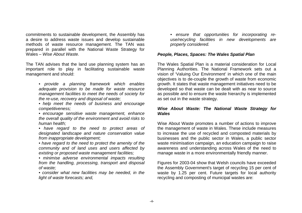commitments to sustainable development, the Assembly has a desire to address waste issues and develop sustainable methods of waste resource management. The TAN was prepared in parallel with the National Waste Strategy for Wales – *Wise About Waste.*

The TAN advises that the land use planning system has an important role to play in facilitating sustainable waste management and should:

> *• provide a planning framework which enables adequate provision to be made for waste resource management facilities to meet the needs of society for the re-use, recovery and disposal of waste;*

> *• help meet the needs of business and encourage competitiveness;*

> *• encourage sensitive waste management, enhance the overall quality of the environment and avoid risks to human health;*

> *• have regard to the need to protect areas of designated landscape and nature conservation value from inappropriate development;*

> *• have regard to the need to protect the amenity of the community and of land uses and users affected by existing or proposed waste management facilities;*

> *• minimise adverse environmental impacts resulting from the handling, processing, transport and disposal of waste;*

> *• consider what new facilities may be needed, in the light of waste forecasts; and,*

*• ensure that opportunities for incorporating reuse/recycling facilities in new developments are properly considered.*

#### *People, Places, Spaces: The Wales Spatial Plan*

The Wales Spatial Plan is a material consideration for Local Planning Authorities. The National Framework sets out a vision of 'Valuing Our Environment' in which one of the main objectives is to de-couple the growth of waste from economic growth. It states that waste management initiatives need to be developed so that waste can be dealt with as near to source as possible and to ensure the waste hierarchy is implemented as set out in the waste strategy.

#### *Wise About Waste: The National Waste Strategy for Wales*

Wise About Waste promotes a number of actions to improve the management of waste in Wales. These include measures to increase the use of recycled and composted materials by businesses and the public sector in Wales, a public sector waste minimisation campaign, an education campaign to raise awareness and understanding across Wales of the need to manage waste in a more environmentally friendly manner.

Figures for 2003-04 show that Welsh councils have exceeded the Assembly Government's target of recycling 15 per cent of waste by 1.25 per cent. Future targets for local authority recycling and composting of municipal wastes are: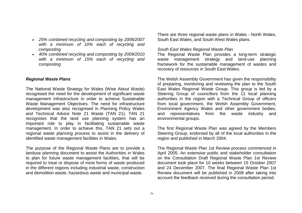- *25% combined recycling and composting by 2006/2007 with a minimum of 10% each of recycling and composting*
- *40% combined recycling and composting by 2009/2010 with a minimum of 15% each of recycling and composting*

#### *Regional Waste Plans*

The National Waste Strategy for Wales (Wise About Waste) recognised the need for the development of significant waste management infrastructure in order to achieve Sustainable Waste Management Objectives. The need for infrastructure development was also recognised in Planning Policy Wales and Technical Advice Note 21 Waste (TAN 21). TAN 21 recognises that the land use planning system has an important role to play in facilitating sustainable waste management. In order to achieve this, TAN 21 sets out a regional waste planning process to assist in the delivery of identified waste management facilities in Wales.

The purpose of the Regional Waste Plans are to provide a landuse planning document to assist the Authorities in Wales to plan for future waste management facilities, that will be required to treat or dispose of most forms of waste produced in the different regions including industrial waste, construction and demolition waste, hazardous waste and municipal waste.

There are three regional waste plans in Wales - North Wales, South East Wales, and South West Wales plans.

#### *South East Wales Regional Waste Plan*

The Regional Waste Plan provides a long-term strategic waste management strategy and land-use planning framework for the sustainable management of wastes and recovery of resources in South East Wales.

The Welsh Assembly Government has given the responsibility of preparing, monitoring and reviewing the plan to the South East Wales Regional Waste Group. This group is led by a Steering Group of councillors from the 11 local planning authorities in the region with a Technical Group of officers from local government, the Welsh Assembly Government, Environment Agency Wales and other government bodies, and representatives from the waste industry and environmental groups.

The first Regional Waste Plan was agreed by the Members Steering Group, endorsed by all of the local authorities in the region and published in March 2004.

The Regional Waste Plan 1st Review process commenced in April 2005. An extensive public and stakeholder consultation on the Consultation Draft Regional Waste Plan 1st Review document took place for 10 weeks between 15 October 2007 and 24 December 2007. The final Regional Waste Plan 1st Review document will be published in 2008 after taking into account the feedback received during the consultation period.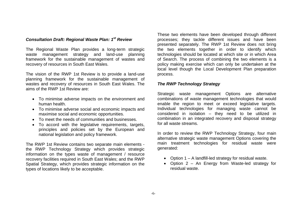#### *Consultation Draft: Regional Waste Plan: 1st Review*

The Regional Waste Plan provides a long-term strategic waste management strategy and land-use planning framework for the sustainable management of wastes and recovery of resources in South East Wales.

The vision of the RWP 1st Review is to provide a land-use planning framework for the sustainable management of wastes and recovery of resources in South East Wales. The aims of the RWP 1st Review are:

- To minimise adverse impacts on the environment and human health.
- To minimise adverse social and economic impacts and maximise social and economic opportunities.
- To meet the needs of communities and businesses.
- To accord with the legislative requirements, targets, principles and policies set by the European and national legislation and policy framework.

The RWP 1st Review contains two separate main elements the RWP Technology Strategy which provides strategic information on the types waste of management / resource recovery facilities required in South East Wales; and the RWP Spatial Strategy, which provides strategic information on the types of locations likely to be acceptable.

These two elements have been developed through different processes; they tackle different issues and have been presented separately. The RWP 1st Review does not bring the two elements together in order to identify which technologies should be located at which site or in which Area of Search. The process of combining the two elements is a policy making exercise which can only be undertaken at the local level though the Local Development Plan preparation process.

#### *The RWP Technology Strategy*

Strategic waste management Options are alternative combinations of waste management technologies that would enable the region to meet or exceed legislative targets. Individual technologies for managing waste cannot be considered in isolation – they need to be utilized in combination in an integrated recovery and disposal strategy for all waste streams.

In order to review the RWP Technology Strategy, four main alternative strategic waste management Options covering the main treatment technologies for residual waste were generated:

- Option  $1 A$  landfill-led strategy for residual waste.
- Option 2 An Energy from Waste-led strategy for residual waste.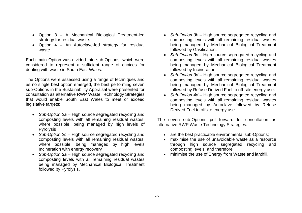- Option 3 A Mechanical Biological Treatment-led strategy for residual waste.
- Option 4 An Autoclave-led strategy for residual waste.

Each main Option was divided into sub-Options, which were considered to represent a sufficient range of choices for dealing with waste in South East Wales.

The Options were assessed using a range of techniques and as no single best option emerged, the best performing seven sub-Options in the Sustainability Appraisal were presented for consultation as alternative RWP Waste Technology Strategies that would enable South East Wales to meet or exceed legislative targets:

- *Sub-Option 2a* High source segregated recycling and composting levels with all remaining residual wastes, where possible, being managed by high levels of **Pyrolysis**
- *Sub-Option 2c* High source segregated recycling and composting levels with all remaining residual wastes, where possible, being managed by high levels Incineration with energy recovery
- *Sub-Option 3a* High source segregated recycling and composting levels with all remaining residual wastes being managed by Mechanical Biological Treatment followed by Pyrolysis.
- *Sub-Option 3b* High source segregated recycling and composting levels with all remaining residual wastes being managed by Mechanical Biological Treatment followed by Gasification.
- *Sub-Option 3c* High source segregated recycling and composting levels with all remaining residual wastes being managed by Mechanical Biological Treatment followed by Incineration.
- *Sub-Option 3d* High source segregated recycling and composting levels with all remaining residual wastes being managed by Mechanical Biological Treatment followed by Refuse Derived Fuel to off-site energy use.
- *Sub-Option 4d* High source segregated recycling and composting levels with all remaining residual wastes being managed by Autoclave followed by Refuse Derived Fuel to offsite energy use.

The seven sub-Options put forward for consultation as alternative RWP Waste Technology Strategies:

- are the best practicable environmental sub-Options;
- maximise the use of unavoidable waste as a resource through high source segregated recycling and composting levels; and therefore
- minimise the use of Energy from Waste and landfill.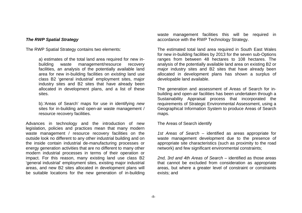#### *The RWP Spatial Strategy*

The RWP Spatial Strategy contains two elements:

a) estimates of the total land area required for new inbuilding waste management/resource recovery facilities, an analysis of the potentially available land area for new in-building facilities on *existing* land use class B2 'general industrial' employment sites, major industry sites and B2 sites that have already been allocated in development plans, and a list of these sites.

b).'Areas of Search' maps for use in identifying *new*  sites for in-building and open-air waste management / resource recovery facilities.

Advances in technology and the introduction of new legislation, policies and practices mean that many modern waste management / resource recovery facilities on the outside look no different to any other industrial building and on the inside contain industrial de-manufacturing processes or energy generation activities that are no different to many other modern industrial processes in terms of their operation or impact. For this reason, many existing land use class B2 'general industrial' employment sites, existing major industrial areas, and new B2 sites allocated in development plans will be suitable locations for the new generation of in-building

waste management facilities this will be required in accordance with the RWP Technology Strategy.

The estimated total land area required in South East Wales for new in-building facilities by 2013 for the seven sub-Options ranges from between 48 hectares to 108 hectares. The analysis of the potentially available land area on existing B2 or major industry sites and B2 sites that have already been allocated in development plans has shown a surplus of developable land available.

The generation and assessment of Areas of Search for inbuilding and open-air facilities has been undertaken through a Sustainability Appraisal process that incorporated the requirements of Strategic Environmental Assessment, using a Geographical Information System to produce Areas of Search maps.

The Areas of Search identify

*1st Areas of Search* – identified as areas appropriate for waste management development due to the presence of appropriate site characteristics (such as proximity to the road network) and few significant environmental constraints;

*2nd, 3rd and 4th Areas of Search* – identified as those areas that cannot be excluded from consideration as appropriate areas, but where a greater level of constraint or constraints exists; and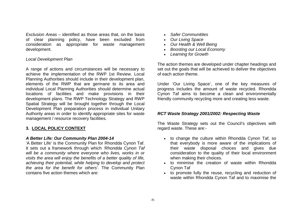*Exclusion Areas* – identified as those areas that, on the basis of clear planning policy, have been excluded from consideration as appropriate for waste management development.

#### *Local Development Plan*

A range of actions and circumstances will be necessary to achieve the implementation of the RWP 1st Review. Local Planning Authorities should include in their development plan, elements of the RWP that are germane to its area and individual Local Planning Authorities should determine actual locations of facilities and make provisions in their development plans. The RWP Technology Strategy and RWP Spatial Strategy will be brought together through the Local Development Plan preparation process in individual Unitary Authority areas in order to identify appropriate sites for waste management / resource recovery facilities.

#### **3. LOCAL POLICY CONTEXT**

#### *A Better Life: Our Community Plan 2004-14*

'A Better Life' is the Community Plan for Rhondda Cynon Taf. It sets out a framework through which *'Rhondda Cynon Taf will be a community where everyone who lives, works in or visits the area will enjoy the benefits of a better quality of life, achieving their potential, while helping to develop and protect the area for the benefit for others'.* The Community Plan contains five action themes which are:

- *Safer Communitites*
- *Our Living Space*
- *Our Health & Well Being*
- *Boosting our Local Economy*
- *Learning for Growth*

The action themes are developed under chapter headings and set out the goals that will be achieved to deliver the objectives of each action theme.

Under 'Our Living Space', one of the key measures of progress includes the amount of waste recycled. Rhondda Cynon Taf aims to become a clean and environmentally friendly community recycling more and creating less waste.

#### *RCT Waste Strategy 2001/2002: Respecting Waste*

The Waste Strategy sets out the Council's objectives with regard waste. These are:-

- to change the culture within Rhondda Cynon Taf, so that everybody is more aware of the implications of their waste disposal choices and gives due consideration to the quality of their local environment when making their choices.
- to minimise the creation of waste within Rhondda Cynon Taf
- to promote fully the reuse, recycling and reduction of waste within Rhondda Cynon Taf and to maximise the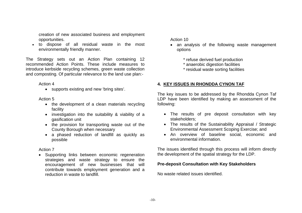creation of new associated business and employment opportunities.

 to dispose of all residual waste in the most environmentally friendly manner.

The Strategy sets out an Action Plan containing 12 recommended Action Points. These include measures to introduce kerbside recycling schemes, green waste collection and composting. Of particular relevance to the land use plan:-

#### Action 4

• supports existing and new 'bring sites'.

# Action 5

- the development of a clean materials recycling facility
- investigation into the suitability & viability of a gasification unit
- the provision for transporting waste out of the County Borough when necessary
- a phased reduction of landfill as quickly as possible

# Action 7

• Supporting links between economic regeneration strategies and waste strategy to ensure the encouragement of new businesses that will contribute towards employment generation and a reduction in waste to landfill.

Action 10

- an analysis of the following waste management options
	- \* refuse derived fuel production
	- \* anaerobic digestion facilities
	- \* residual waste sorting facilities

# **4. KEY ISSUES IN RHONDDA CYNON TAF**

The key issues to be addressed by the Rhondda Cynon Taf LDP have been identified by making an assessment of the following:

- The results of pre deposit consultation with key stakeholders;
- The results of the Sustainability Appraisal / Strategic Environmental Assessment Scoping Exercise; and
- An overview of baseline social, economic and environmental information.

The issues identified through this process will inform directly the development of the spatial strategy for the LDP.

# **Pre-deposit Consultation with Key Stakeholders**

No waste related issues identified.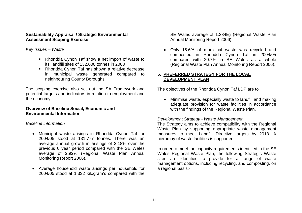#### **Sustainability Appraisal / Strategic Environmental Assessment Scoping Exercise**

*Key Issues – Waste*

- Rhondda Cynon Taf show a net import of waste to its' landfill sites of 132,000 tonnes in 2003
- Rhondda Cynon Taf has shown a relative decrease in municipal waste generated compared to neighbouring County Boroughs.

The scoping exercise also set out the SA Framework and potential targets and indicators in relation to employment and the economy.

# **Overview of Baseline Social, Economic and Environmental Information**

# *Baseline information*

- Municipal waste arisings in Rhondda Cynon Taf for 2004/05 stood at 131,777 tonnes. There was an average annual growth in arisings of 2.18% over the previous 6 year period compared with the SE Wales average of 2.92% (Regional Waste Plan Annual Monitoring Report 2006).
- Average household waste arisings per household for 2004/05 stood at 1.332 kilogram's compared with the

SE Wales average of 1.284kg (Regional Waste Plan Annual Monitoring Report 2006).

 Only 15.6% of municipal waste was recycled and composted in Rhondda Cynon Taf in 2004/05 compared with 20.7% in SE Wales as a whole (Regional Waste Plan Annual Monitoring Report 2006).

# **5. PREFERRED STRATEGY FOR THE LOCAL DEVELOPMENT PLAN**

The objectives of the Rhondda Cynon Taf LDP are to

 Minimise waste, especially waste to landfill and making adequate provision for waste facilities in accordance with the findings of the Regional Waste Plan.

# *Development Strategy - Waste Management*

The Strategy aims to achieve compatibility with the Regional Waste Plan by supporting appropriate waste management measures to meet Landfill Directive targets by 2013. A hierarchy of waste facilities is supported.

In order to meet the capacity requirements identified in the SE Wales Regional Waste Plan, the following Strategic Waste sites are identified to provide for a range of waste management options, including recycling, and composting, on a regional basis:-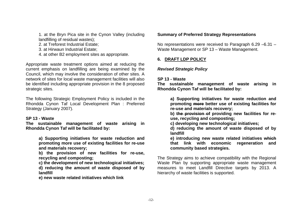1. at the Bryn Pica site in the Cynon Valley (including landfilling of residual wastes);

2. at Treforest Industrial Estate;

3. at Hirwaun Industrial Estate;

4. at other B2 employment sites as appropriate.

Appropriate waste treatment options aimed at reducing the current emphasis on landfilling are being examined by the Council, which may involve the consideration of other sites. A network of sites for local waste management facilities will also be identified including appropriate provision in the 8 proposed strategic sites.

The following Strategic Employment Policy is included in the Rhondda Cynon Taf Local Development Plan : Preferred Strategy (January 2007).

#### **SP 13 - Waste**

**The sustainable management of waste arising in Rhondda Cynon Taf will be facilitated by:**

> **a) Supporting initiatives for waste reduction and promoting more use of existing facilities for re-use and materials recovery;**

> **b) the provision of new facilities for re-use, recycling and composting;**

> **c) the development of new technological initiatives; d) reducing the amount of waste disposed of by landfill**

**e) new waste related initiatives which link**

# **Summary of Preferred Strategy Representations**

No representations were received to Paragraph 6.29 –6.31 – Waste Management or SP 13 – Waste Management.

# **6. DRAFT LDP POLICY**

# *Revised Strategic Policy*

# **SP 13 - Waste**

**The sustainable management of waste arising in Rhondda Cynon Taf will be facilitated by:**

> **a) Supporting initiatives for waste reduction and promoting more better use of existing facilities for re-use and materials recovery;**

> **b) the provision of providing new facilities for reuse, recycling and composting;**

**c) developing new technological initiatives;**

**d) reducing the amount of waste disposed of by landfill**

**e) introducing new waste related initiatives which that link with economic regeneration and community based strategies.**

The Strategy aims to achieve compatibility with the Regional Waste Plan by supporting appropriate waste management measures to meet Landfill Directive targets by 2013. A hierarchy of waste facilities is supported.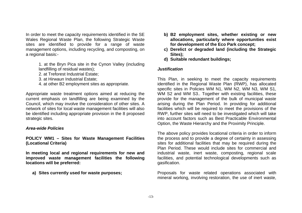In order to meet the capacity requirements identified in the SE Wales Regional Waste Plan, the following Strategic Waste sites are identified to provide for a range of waste management options, including recycling, and composting, on a regional basis:-

- 1. at the Bryn Pica site in the Cynon Valley (including landfilling of residual wastes);
- 2. at Treforest Industrial Estate;
- 3. at Hirwaun Industrial Estate;
- 4. at other B2 employment sites as appropriate.

Appropriate waste treatment options aimed at reducing the current emphasis on landfilling are being examined by the Council, which may involve the consideration of other sites. A network of sites for local waste management facilities will also be identified including appropriate provision in the 8 proposed strategic sites.

# *Area-wide Policies*

# **POLICY WM1 – Sites for Waste Management Facilities (Locational Criteria)**

**In meeting local and regional requirements for new and improved waste management facilities the following locations will be preferred:** 

**a) Sites currently used for waste purposes;**

- **b) B2 employment sites, whether existing or new allocations, particularly where opportunities exist for development of the Eco Park concept;**
- **c) Derelict or degraded land (including the Strategic Sites);**
- **d) Suitable redundant buildings;**

# *Justification*

This Plan, in seeking to meet the capacity requirements identified in the Regional Waste Plan (RWP), has allocated specific sites in Policies WM N1, WM N2, WM N3, WM S1, WM S2 and WM S3.. Together with existing facilities, these provide for the management of the bulk of municipal waste arising during the Plan Period. In providing for additional facilities which will be required to meet the provisions of the RWP, further sites will need to be investigated which will take into account factors such as Best Practicable Environmental Option, the Waste Hierarchy and the Proximity Principle.

The above policy provides locational criteria in order to inform the process and to provide a degree of certainty in assessing sites for additional facilities that may be required during the Plan Period. These would include sites for commercial and industrial waste, inert waste, composting, regional scale facilities, and potential technological developments such as gasification.

Proposals for waste related operations associated with mineral working, involving restoration, the use of inert waste,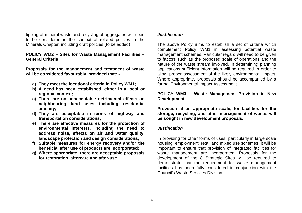tipping of mineral waste and recycling of aggregates will need to be considered in the context of related policies in the Minerals Chapter, including draft policies (to be added)

#### **POLICY WM2 – Sites for Waste Management Facilities – General Criteria**

**Proposals for the management and treatment of waste will be considered favourably, provided that: -**

- **a) They meet the locational criteria in Policy WM1;**
- **b) A need has been established, either in a local or regional context;**
- **c) There are no unacceptable detrimental effects on neighbouring land uses including residential amenity;**
- **d) They are acceptable in terms of highway and transportation considerations;**
- **e) There are effective measures for the protection of environmental interests, including the need to address noise, effects on air and water quality, landscape protection and design considerations;**
- **f) Suitable measures for energy recovery and/or the beneficial after use of products are incorporated;**
- **g) Where appropriate, there are acceptable proposals for restoration, aftercare and after-use.**

#### *Justification*

The above Policy aims to establish a set of criteria which complement Policy WM1 in assessing potential waste management schemes. Particular regard will need to be given to factors such as the proposed scale of operations and the nature of the waste stream involved. In determining planning applications sufficient information will be required in order to allow proper assessment of the likely environmental impact. Where appropriate, proposals should be accompanied by a formal Environmental Impact Assessment.

## **POLICY WM3 – Waste Management Provision in New Development**

**Provision at an appropriate scale, for facilities for the storage, recycling, and other management of waste, will be sought in new development proposals.**

#### *Justification*

In providing for other forms of uses, particularly in large scale housing, employment, retail and mixed use schemes, it will be important to ensure that provision of integrated facilities for waste management are incorporated. Proposals for the development of the 8 Strategic Sites will be required to demonstrate that the requirement for waste management facilities has been fully considered in conjunction with the Council's Waste Services Division.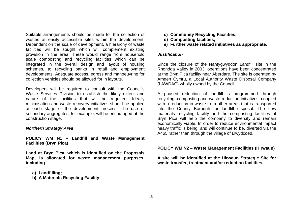Suitable arrangements should be made for the collection of wastes at easily accessible sites within the development. Dependent on the scale of development, a hierarchy of waste facilities will be sought which will complement existing provision in the area. These would range from household scale composting and recycling facilities which can be integrated in the overall design and layout of housing schemes, to recycling banks in retail and employment developments. Adequate access, egress and manoeuvring for collection vehicles should be allowed for in layouts.

Developers will be required to consult with the Council's Waste Services Division to establish the likely extent and nature of the facilities that will be required. Ideally minimisation and waste recovery initiatives should be applied at each stage of the development process. The use of secondary aggregates, for example, will be encouraged at the construction stage.

#### *Northern Strategy Area*

**POLICY WM N1 – Landfill and Waste Management Facilities (Bryn Pica)**

**Land at Bryn Pica, which is identified on the Proposals Map, is allocated for waste management purposes, including**

- **a) Landfilling;**
- **b) A Materials Recycling Facility;**
- **c) Community Recycling Facilities;**
- **d) Composting facilities;**
- **e) Further waste related initiatives as appropriate.**

#### *Justification*

Since the closure of the Nantygwyddon Landfill site in the Rhondda Valley in 2003, operations have been concentrated at the Bryn Pica facility near Aberdare. The site is operated by Amgen Cymru, a Local Authority Waste Disposal Company (LAWDAC) wholly owned by the Council.

A phased reduction of landfill is programmed through recycling, composting and waste reduction initiatives, coupled with a reduction in waste from other areas that is transported into the County Borough for landfill disposal. The new materials recycling facility and the composting facilities at Bryn Pica will help the company to diversify and remain economically viable. In order to reduce environmental impact heavy traffic is being, and will continue to be, diverted via the A465 rather than through the village of Llwydcoed.

#### **POLICY WM N2 – Waste Management Facilities (Hirwaun)**

**A site will be identified at the Hirwaun Strategic Site for waste transfer, treatment and/or reduction facilities.**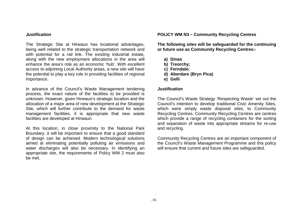#### *Justification*

The Strategic Site at Hirwaun has locational advantages, being well related to the strategic transportation network and with potential for a rail link. The existing industrial estate, along with the new employment allocations in the area will enhance the area's role as an economic 'hub'. With excellent access to adjoining Local Authority areas, a new site will have the potential to play a key role in providing facilities of regional importance.

In advance of the Council's Waste Management tendering process, the exact nature of the facilities to be provided is unknown. However, given Hirwaun's strategic location and the allocation of a major area of new development at the Strategic Site, which will further contribute to the demand for waste management facilities, it is appropriate that new waste facilities are developed at Hirwaun.

At this location, in close proximity to the National Park Boundary, it will be important to ensure that a good standard of design can be achieved. Modern technological solutions aimed at eliminating potentially polluting air emissions and water discharges will also be necessary. In identifying an appropriate site, the requirements of Policy WM 2 must also be met.

#### **POLICY WM N3 – Community Recycling Centres**

**The following sites will be safeguarded for the continuing or future use as Community Recycling Centres:-**

- **a) Dinas**
- **b) Treorchy;**
- **c) Ferndale;**
- **d) Aberdare (Bryn Pica)**
- **e) Gelli**

#### *Justification*

The Council's Waste Strategy 'Respecting Waste' set out the Council's intention to develop traditional Civic Amenity Sites, which were simply waste disposal sites, to Community Recycling Centres. Community Recycling Centres are centres which provide a range of recycling containers for the sorting and separation of waste into appropriate streams for re-use and recycling.

Community Recycling Centres are an important component of the Council's Waste Management Programme and this policy will ensure that current and future sites are safeguarded.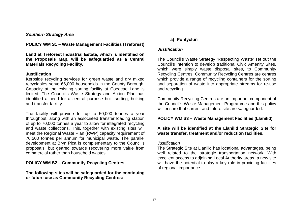#### *Southern Strategy Area*

**POLICY WM S1 – Waste Management Facilities (Treforest)**

**Land at Treforest Industrial Estate, which is identified on the Proposals Map, will be safeguarded as a Central Materials Recycling Facility.**

#### **Justification**

Kerbside recycling services for green waste and dry mixed recyclables serve 66,000 households in the County Borough. Capacity at the existing sorting facility at Coedcae Lane is limited. The Council's Waste Strategy and Action Plan has identified a need for a central purpose built sorting, bulking and transfer facility.

The facility will provide for up to 50,000 tonnes a year throughput; along with an associated transfer loading station of up to 70,000 tonnes a year to allow for integrated recycling and waste collections. This, together with existing sites will meet the Regional Waste Plan (RWP) capacity requirement of 70,500 tonnes per annum for municipal waste. The parallel development at Bryn Pica is complementary to the Council's proposals, but geared towards recovering more value from commercial rather than household wastes.

# **POLICY WM S2 – Community Recycling Centres**

**The following sites will be safeguarded for the continuing or future use as Community Recycling Centres:-**

# **a) Pontyclun**

#### *Justification*

The Council's Waste Strategy 'Respecting Waste' set out the Council's intention to develop traditional Civic Amenity Sites, which were simply waste disposal sites, to Community Recycling Centres. Community Recycling Centres are centres which provide a range of recycling containers for the sorting and separation of waste into appropriate streams for re-use and recycling.

Community Recycling Centres are an important component of the Council's Waste Management Programme and this policy will ensure that current and future site are safeguarded.

# **POLICY WM S3 – Waste Management Facilities (Llanilid)**

# **A site will be identified at the Llanilid Strategic Site for waste transfer, treatment and/or reduction facilities.**

#### *Justification*

The Strategic Site at Llanilid has locational advantages, being well related to the strategic transportation network. With excellent access to adjoining Local Authority areas, a new site will have the potential to play a key role in providing facilities of regional importance.